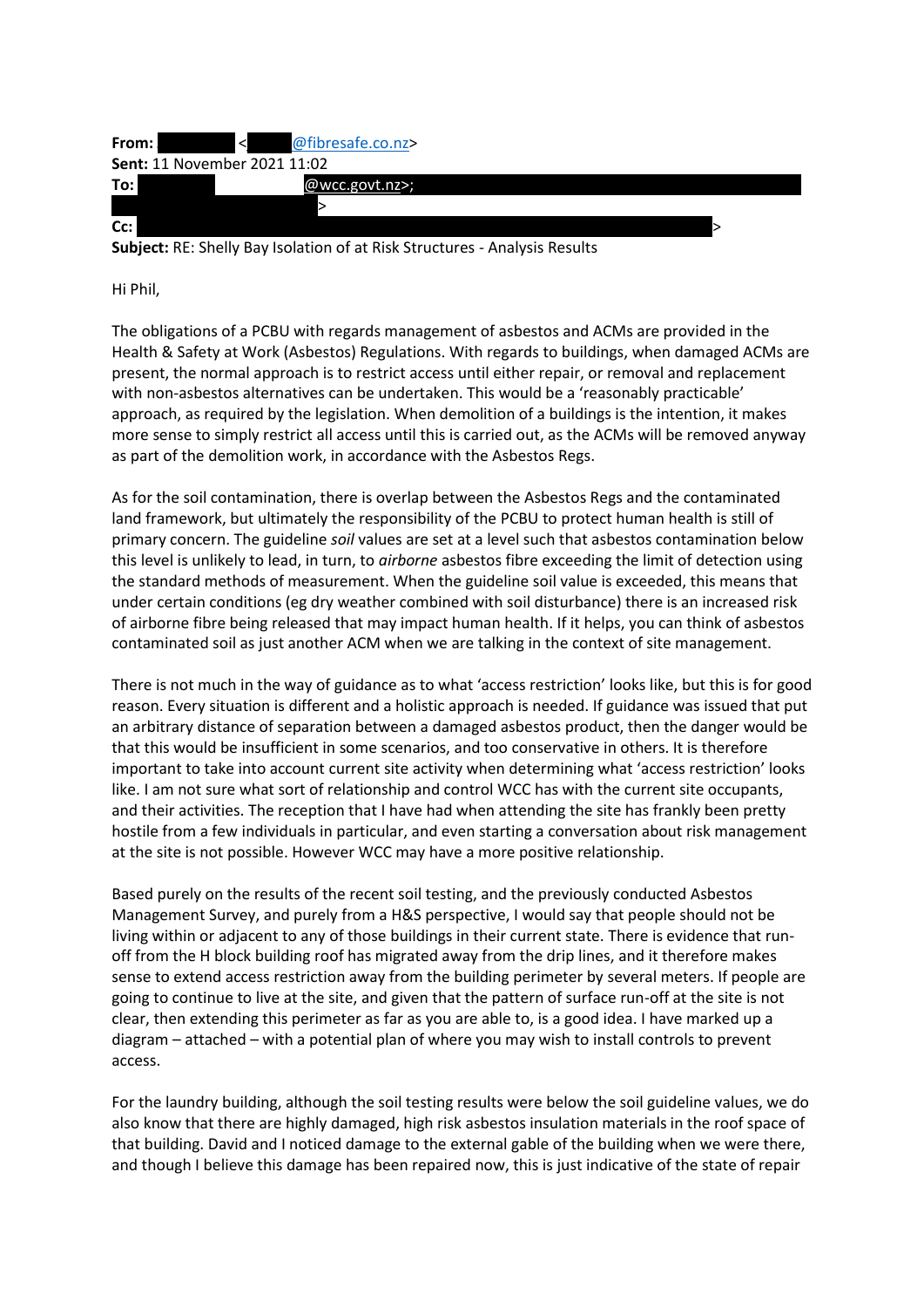| From: | < @fibresafe.co.nz>                 |  |
|-------|-------------------------------------|--|
|       | <b>Sent: 11 November 2021 11:02</b> |  |
| To:   | $@$ wcc.govt.nz>;                   |  |
|       |                                     |  |
| Cc:   |                                     |  |

**Subject:** RE: Shelly Bay Isolation of at Risk Structures - Analysis Results

Hi Phil,

The obligations of a PCBU with regards management of asbestos and ACMs are provided in the Health & Safety at Work (Asbestos) Regulations. With regards to buildings, when damaged ACMs are present, the normal approach is to restrict access until either repair, or removal and replacement with non-asbestos alternatives can be undertaken. This would be a 'reasonably practicable' approach, as required by the legislation. When demolition of a buildings is the intention, it makes more sense to simply restrict all access until this is carried out, as the ACMs will be removed anyway as part of the demolition work, in accordance with the Asbestos Regs.

As for the soil contamination, there is overlap between the Asbestos Regs and the contaminated land framework, but ultimately the responsibility of the PCBU to protect human health is still of primary concern. The guideline *soil* values are set at a level such that asbestos contamination below this level is unlikely to lead, in turn, to *airborne* asbestos fibre exceeding the limit of detection using the standard methods of measurement. When the guideline soil value is exceeded, this means that under certain conditions (eg dry weather combined with soil disturbance) there is an increased risk of airborne fibre being released that may impact human health. If it helps, you can think of asbestos contaminated soil as just another ACM when we are talking in the context of site management.

There is not much in the way of guidance as to what 'access restriction' looks like, but this is for good reason. Every situation is different and a holistic approach is needed. If guidance was issued that put an arbitrary distance of separation between a damaged asbestos product, then the danger would be that this would be insufficient in some scenarios, and too conservative in others. It is therefore important to take into account current site activity when determining what 'access restriction' looks like. I am not sure what sort of relationship and control WCC has with the current site occupants, and their activities. The reception that I have had when attending the site has frankly been pretty hostile from a few individuals in particular, and even starting a conversation about risk management at the site is not possible. However WCC may have a more positive relationship.

Based purely on the results of the recent soil testing, and the previously conducted Asbestos Management Survey, and purely from a H&S perspective, I would say that people should not be living within or adjacent to any of those buildings in their current state. There is evidence that runoff from the H block building roof has migrated away from the drip lines, and it therefore makes sense to extend access restriction away from the building perimeter by several meters. If people are going to continue to live at the site, and given that the pattern of surface run-off at the site is not clear, then extending this perimeter as far as you are able to, is a good idea. I have marked up a diagram – attached – with a potential plan of where you may wish to install controls to prevent access.

For the laundry building, although the soil testing results were below the soil guideline values, we do also know that there are highly damaged, high risk asbestos insulation materials in the roof space of that building. David and I noticed damage to the external gable of the building when we were there, and though I believe this damage has been repaired now, this is just indicative of the state of repair